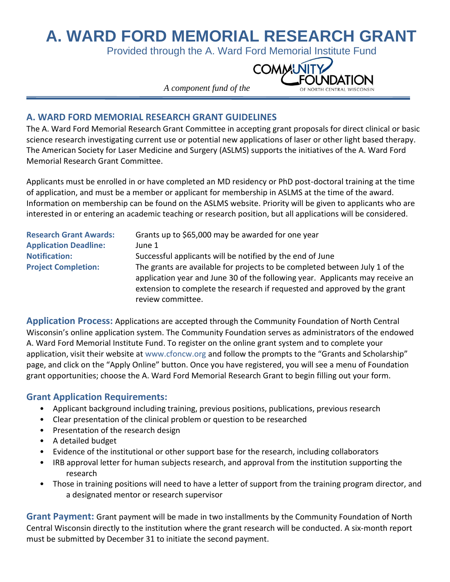# **A. WARD FORD MEMORIAL RESEARCH GRANT**

Provided through the A. Ward Ford Memorial Institute Fund



 *A component fund of the*

#### **A. WARD FORD MEMORIAL RESEARCH GRANT GUIDELINES**

The A. Ward Ford Memorial Research Grant Committee in accepting grant proposals for direct clinical or basic science research investigating current use or potential new applications of laser or other light based therapy. The American Society for Laser Medicine and Surgery (ASLMS) supports the initiatives of the A. Ward Ford Memorial Research Grant Committee.

Applicants must be enrolled in or have completed an MD residency or PhD post-doctoral training at the time of application, and must be a member or applicant for membership in ASLMS at the time of the award. Information on membership can be found on the ASLMS website. Priority will be given to applicants who are interested in or entering an academic teaching or research position, but all applications will be considered.

| <b>Research Grant Awards:</b> | Grants up to \$65,000 may be awarded for one year                                                                                                                                                                                                              |
|-------------------------------|----------------------------------------------------------------------------------------------------------------------------------------------------------------------------------------------------------------------------------------------------------------|
| <b>Application Deadline:</b>  | June 1                                                                                                                                                                                                                                                         |
| <b>Notification:</b>          | Successful applicants will be notified by the end of June                                                                                                                                                                                                      |
| <b>Project Completion:</b>    | The grants are available for projects to be completed between July 1 of the<br>application year and June 30 of the following year. Applicants may receive an<br>extension to complete the research if requested and approved by the grant<br>review committee. |

**Application Process:** Applications are accepted through the Community Foundation of North Central Wisconsin's online application system. The Community Foundation serves as administrators of the endowed A. Ward Ford Memorial Institute Fund. To register on the online grant system and to complete your application, visit their website at www.cfoncw.org and follow the prompts to the "Grants and Scholarship" page, and click on the "Apply Online" button. Once you have registered, you will see a menu of Foundation grant opportunities; choose the A. Ward Ford Memorial Research Grant to begin filling out your form.

### **Grant Application Requirements:**

- Applicant background including training, previous positions, publications, previous research
- Clear presentation of the clinical problem or question to be researched
- Presentation of the research design
- A detailed budget
- Evidence of the institutional or other support base for the research, including collaborators
- IRB approval letter for human subjects research, and approval from the institution supporting the research
- Those in training positions will need to have a letter of support from the training program director, and a designated mentor or research supervisor

**Grant Payment:** Grant payment will be made in two installments by the Community Foundation of North Central Wisconsin directly to the institution where the grant research will be conducted. A six-month report must be submitted by December 31 to initiate the second payment.